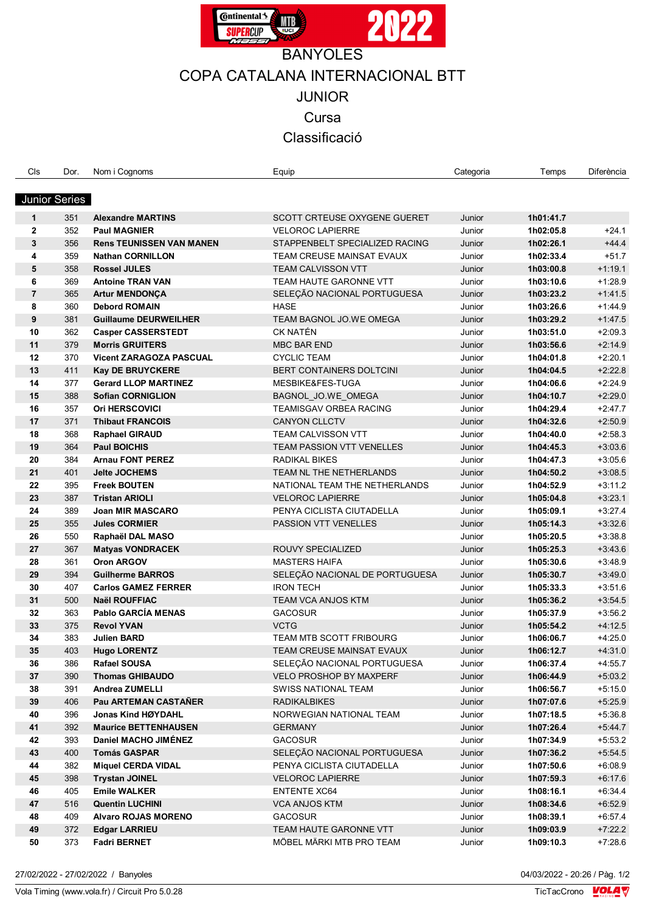

## COPA CATALANA INTERNACIONAL BTT

JUNIOR

**Cursa** 

Classificació

| Cls            | Dor.                 | Nom i Cognoms                   | Equip                            | Categoria | Temps     | Diferència |
|----------------|----------------------|---------------------------------|----------------------------------|-----------|-----------|------------|
|                | <b>Junior Series</b> |                                 |                                  |           |           |            |
|                |                      |                                 |                                  |           |           |            |
| $\mathbf 1$    | 351                  | <b>Alexandre MARTINS</b>        | SCOTT CRTEUSE OXYGENE GUERET     | Junior    | 1h01:41.7 |            |
| $\mathbf{2}$   | 352                  | <b>Paul MAGNIER</b>             | <b>VELOROC LAPIERRE</b>          | Junior    | 1h02:05.8 | $+24.1$    |
| 3              | 356                  | <b>Rens TEUNISSEN VAN MANEN</b> | STAPPENBELT SPECIALIZED RACING   | Junior    | 1h02:26.1 | $+44.4$    |
| 4              | 359                  | <b>Nathan CORNILLON</b>         | TEAM CREUSE MAINSAT EVAUX        | Junior    | 1h02:33.4 | $+51.7$    |
| 5              | 358                  | <b>Rossel JULES</b>             | <b>TEAM CALVISSON VTT</b>        | Junior    | 1h03:00.8 | $+1:19.1$  |
| 6              | 369                  | <b>Antoine TRAN VAN</b>         | TEAM HAUTE GARONNE VTT           | Junior    | 1h03:10.6 | $+1.28.9$  |
| $\overline{7}$ | 365                  | <b>Artur MENDONÇA</b>           | SELEÇÃO NACIONAL PORTUGUESA      | Junior    | 1h03:23.2 | $+1.41.5$  |
| 8              | 360                  | <b>Debord ROMAIN</b>            | <b>HASE</b>                      | Junior    | 1h03:26.6 | $+1.44.9$  |
| 9              | 381                  | <b>Guillaume DEURWEILHER</b>    | TEAM BAGNOL JO.WE OMEGA          | Junior    | 1h03:29.2 | $+1.47.5$  |
| 10             | 362                  | <b>Casper CASSERSTEDT</b>       | <b>CK NATÉN</b>                  | Junior    | 1h03:51.0 | $+2:09.3$  |
| 11             | 379                  | <b>Morris GRUITERS</b>          | <b>MBC BAR END</b>               | Junior    | 1h03:56.6 | $+2:14.9$  |
| 12             | 370                  | <b>Vicent ZARAGOZA PASCUAL</b>  | <b>CYCLIC TEAM</b>               | Junior    | 1h04:01.8 | $+2:20.1$  |
| 13             | 411                  | Kay DE BRUYCKERE                | <b>BERT CONTAINERS DOLTCINI</b>  | Junior    | 1h04:04.5 | $+2:22.8$  |
| 14             | 377                  | <b>Gerard LLOP MARTINEZ</b>     | MESBIKE&FES-TUGA                 | Junior    | 1h04:06.6 | $+2:24.9$  |
| 15             | 388                  | <b>Sofian CORNIGLION</b>        | BAGNOL JO.WE OMEGA               | Junior    | 1h04:10.7 | $+2:29.0$  |
| 16             | 357                  | <b>Ori HERSCOVICI</b>           | TEAMISGAV ORBEA RACING           | Junior    | 1h04:29.4 | $+2.47.7$  |
| 17             | 371                  | <b>Thibaut FRANCOIS</b>         | <b>CANYON CLLCTV</b>             | Junior    | 1h04:32.6 | $+2:50.9$  |
| 18             | 368                  | <b>Raphael GIRAUD</b>           | <b>TEAM CALVISSON VTT</b>        | Junior    | 1h04:40.0 | $+2:58.3$  |
| 19             | 364                  | <b>Paul BOICHIS</b>             | <b>TEAM PASSION VTT VENELLES</b> | Junior    | 1h04:45.3 | $+3:03.6$  |
| 20             | 384                  | <b>Arnau FONT PEREZ</b>         | <b>RADIKAL BIKES</b>             | Junior    | 1h04:47.3 | $+3:05.6$  |
| 21             | 401                  | <b>Jelte JOCHEMS</b>            | TEAM NL THE NETHERLANDS          | Junior    | 1h04:50.2 | $+3:08.5$  |
| 22             | 395                  | <b>Freek BOUTEN</b>             | NATIONAL TEAM THE NETHERLANDS    | Junior    | 1h04:52.9 | $+3:11.2$  |
| 23             | 387                  | <b>Tristan ARIOLI</b>           | <b>VELOROC LAPIERRE</b>          | Junior    | 1h05:04.8 | $+3:23.1$  |
| 24             | 389                  | <b>Joan MIR MASCARO</b>         | PENYA CICLISTA CIUTADELLA        | Junior    | 1h05:09.1 | $+3.27.4$  |
| 25             | 355                  | <b>Jules CORMIER</b>            | PASSION VTT VENELLES             | Junior    | 1h05:14.3 | $+3.32.6$  |
| 26             | 550                  | Raphaël DAL MASO                |                                  | Junior    | 1h05:20.5 | $+3:38.8$  |
| 27             | 367                  | <b>Matyas VONDRACEK</b>         | ROUVY SPECIALIZED                | Junior    | 1h05:25.3 | $+3.43.6$  |
| 28             | 361                  | <b>Oron ARGOV</b>               | <b>MASTERS HAIFA</b>             | Junior    | 1h05:30.6 | $+3.48.9$  |
| 29             | 394                  | <b>Guilherme BARROS</b>         | SELEÇÃO NACIONAL DE PORTUGUESA   | Junior    | 1h05:30.7 | $+3.49.0$  |
| 30             | 407                  | <b>Carlos GAMEZ FERRER</b>      | <b>IRON TECH</b>                 | Junior    | 1h05:33.3 | $+3:51.6$  |
| 31             | 500                  | Naël ROUFFIAC                   | <b>TEAM VCA ANJOS KTM</b>        | Junior    | 1h05:36.2 | $+3.54.5$  |
| 32             | 363                  | Pablo GARCÍA MENAS              | <b>GACOSUR</b>                   | Junior    | 1h05:37.9 | $+3.56.2$  |
| 33             | 375                  | <b>Revol YVAN</b>               | <b>VCTG</b>                      | Junior    | 1h05:54.2 | $+4.12.5$  |
| 34             | 383                  | <b>Julien BARD</b>              | TEAM MTB SCOTT FRIBOURG          | Junior    | 1h06:06.7 | $+4:25.0$  |
| 35             | 403                  | <b>Hugo LORENTZ</b>             | TEAM CREUSE MAINSAT EVAUX        | Junior    | 1h06:12.7 | $+4:31.0$  |
| 36             | 386                  | <b>Rafael SOUSA</b>             | SELEÇÃO NACIONAL PORTUGUESA      | Junior    | 1h06:37.4 | $+4.55.7$  |
| 37             | 390                  | <b>Thomas GHIBAUDO</b>          | VELO PROSHOP BY MAXPERF          | Junior    | 1h06:44.9 | $+5:03.2$  |
| 38             | 391                  | Andrea ZUMELLI                  | SWISS NATIONAL TEAM              | Junior    | 1h06:56.7 | $+5:15.0$  |
|                |                      | Pau ARTEMAN CASTAÑER            |                                  |           |           |            |
| 39<br>40       | 406                  |                                 | <b>RADIKALBIKES</b>              | Junior    | 1h07:07.6 | $+5:25.9$  |
|                | 396                  | Jonas Kind HØYDAHL              | NORWEGIAN NATIONAL TEAM          | Junior    | 1h07:18.5 | $+5:36.8$  |
| 41             | 392                  | <b>Maurice BETTENHAUSEN</b>     | <b>GERMANY</b>                   | Junior    | 1h07:26.4 | $+5.44.7$  |
| 42             | 393                  | Daniel MACHO JIMÉNEZ            | <b>GACOSUR</b>                   | Junior    | 1h07:34.9 | $+5.53.2$  |
| 43             | 400                  | <b>Tomás GASPAR</b>             | SELEÇÃO NACIONAL PORTUGUESA      | Junior    | 1h07:36.2 | $+5.54.5$  |
| 44             | 382                  | <b>Miquel CERDA VIDAL</b>       | PENYA CICLISTA CIUTADELLA        | Junior    | 1h07:50.6 | $+6.08.9$  |
| 45             | 398                  | <b>Trystan JOINEL</b>           | <b>VELOROC LAPIERRE</b>          | Junior    | 1h07:59.3 | $+6:17.6$  |
| 46             | 405                  | <b>Emile WALKER</b>             | <b>ENTENTE XC64</b>              | Junior    | 1h08:16.1 | $+6:34.4$  |
| 47             | 516                  | <b>Quentin LUCHINI</b>          | <b>VCA ANJOS KTM</b>             | Junior    | 1h08:34.6 | $+6:52.9$  |
| 48             | 409                  | <b>Alvaro ROJAS MORENO</b>      | <b>GACOSUR</b>                   | Junior    | 1h08:39.1 | $+6.57.4$  |
| 49             | 372                  | <b>Edgar LARRIEU</b>            | TEAM HAUTE GARONNE VTT           | Junior    | 1h09:03.9 | $+7:22.2$  |
| 50             | 373                  | <b>Fadri BERNET</b>             | MÖBEL MÄRKI MTB PRO TEAM         | Junior    | 1h09:10.3 | $+7:28.6$  |